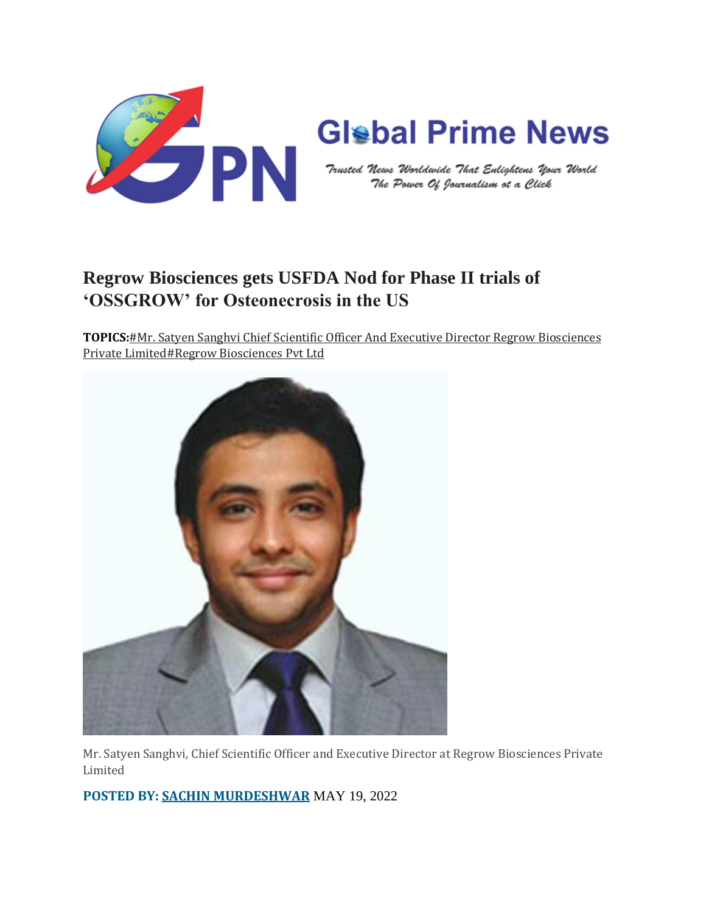

## **Regrow Biosciences gets USFDA Nod for Phase II trials of 'OSSGROW' for Osteonecrosis in the US**

**TOPICS:**#Mr. Satyen Sanghvi Chief Scientific Officer And Executive Director Regrow [Biosciences](https://globalprimenews.com/tag/mr-satyen-sanghvi-chief-scientific-officer-and-executive-director-regrow-biosciences-private-limited/) Private [Limited#](https://globalprimenews.com/tag/mr-satyen-sanghvi-chief-scientific-officer-and-executive-director-regrow-biosciences-private-limited/)Regrow [Biosciences](https://globalprimenews.com/tag/mr-satyen-sanghvi-chief-scientific-officer-and-executive-director-regrow-biosciences-private-limited/) Pvt Ltd



Mr. Satyen Sanghvi, Chief Scientific Officer and Executive Director at Regrow Biosciences Private Limited

**POSTED BY: SACHIN [MURDESHWAR](https://globalprimenews.com/author/sachin/)** MAY 19, 2022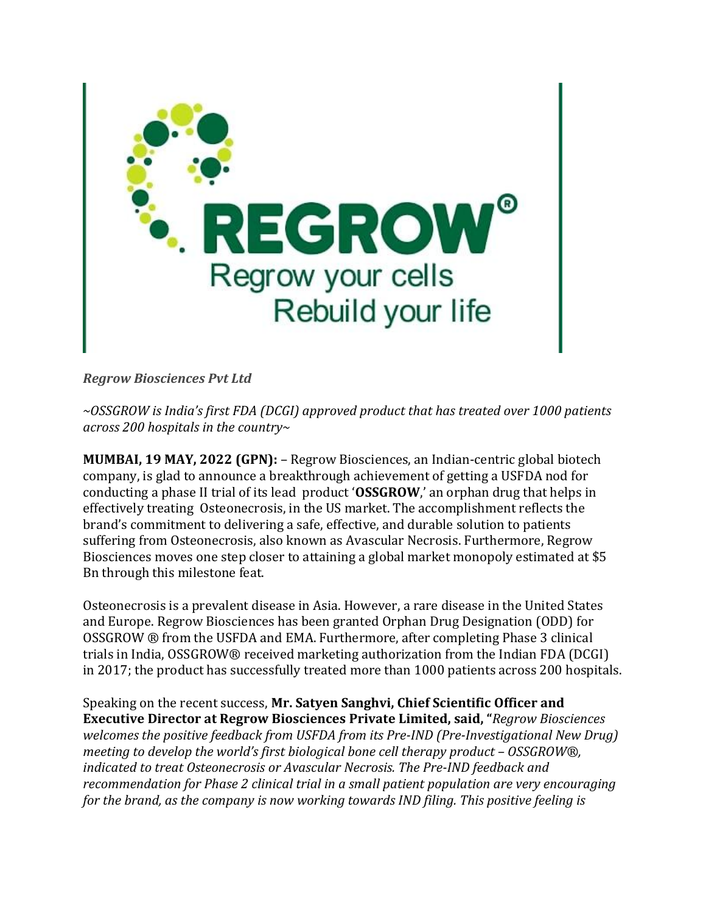

*Regrow Biosciences Pvt Ltd*

*~OSSGROW is India's first FDA (DCGI) approved product that has treated over 1000 patients across 200 hospitals in the country~*

**MUMBAI, 19 MAY, 2022 (GPN):** – Regrow Biosciences, an Indian-centric global biotech company, is glad to announce a breakthrough achievement of getting a USFDA nod for conducting a phase II trial of its lead product '**OSSGROW**,' an orphan drug that helps in effectively treating Osteonecrosis, in the US market. The accomplishment reflects the brand's commitment to delivering a safe, effective, and durable solution to patients suffering from Osteonecrosis, also known as Avascular Necrosis. Furthermore, Regrow Biosciences moves one step closer to attaining a global market monopoly estimated at \$5 Bn through this milestone feat.

Osteonecrosis is a prevalent disease in Asia. However, a rare disease in the United States and Europe. Regrow Biosciences has been granted Orphan Drug Designation (ODD) for OSSGROW ® from the USFDA and EMA. Furthermore, after completing Phase 3 clinical trials in India, OSSGROW® received marketing authorization from the Indian FDA (DCGI) in 2017; the product has successfully treated more than 1000 patients across 200 hospitals.

Speaking on the recent success, **Mr. Satyen Sanghvi, Chief Scientific Officer and Executive Director at Regrow Biosciences Private Limited, said, "***Regrow Biosciences welcomes the positive feedback from USFDA from its Pre-IND (Pre-Investigational New Drug) meeting to develop the world's first biological bone cell therapy product – OSSGROW®, indicated to treat Osteonecrosis or Avascular Necrosis. The Pre-IND feedback and recommendation for Phase 2 clinical trial in a small patient population are very encouraging for the brand, as the company is now working towards IND filing. This positive feeling is*